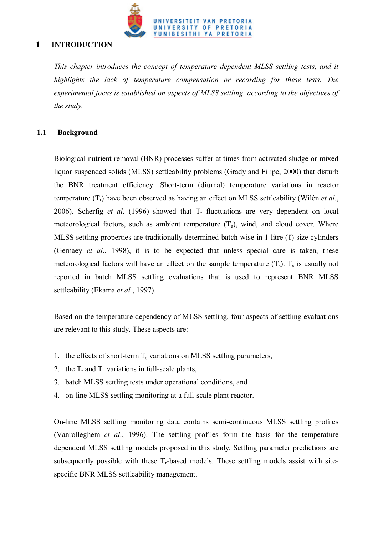

# **1 INTRODUCTION**

*This chapter introduces the concept of temperature dependent MLSS settling tests, and it highlights the lack of temperature compensation or recording for these tests. The experimental focus is established on aspects of MLSS settling, according to the objectives of the study.*

## **1.1 Background**

Biological nutrient removal (BNR) processes suffer at times from activated sludge or mixed liquor suspended solids (MLSS) settleability problems (Grady and Filipe, 2000) that disturb the BNR treatment efficiency. Short-term (diurnal) temperature variations in reactor temperature (Tr) have been observed as having an effect on MLSS settleability (Wilén *et al.*, 2006). Scherfig *et al.* (1996) showed that  $T_r$  fluctuations are very dependent on local meteorological factors, such as ambient temperature  $(T_a)$ , wind, and cloud cover. Where MLSS settling properties are traditionally determined batch-wise in 1 litre  $(\ell)$  size cylinders (Gernaey *et al*., 1998), it is to be expected that unless special care is taken, these meteorological factors will have an effect on the sample temperature  $(T_s)$ .  $T_s$  is usually not reported in batch MLSS settling evaluations that is used to represent BNR MLSS settleability (Ekama *et al.*, 1997).

Based on the temperature dependency of MLSS settling, four aspects of settling evaluations are relevant to this study. These aspects are:

- 1. the effects of short-term  $T_s$  variations on MLSS settling parameters,
- 2. the  $T_r$  and  $T_a$  variations in full-scale plants,
- 3. batch MLSS settling tests under operational conditions, and
- 4. on-line MLSS settling monitoring at a full-scale plant reactor.

On-line MLSS settling monitoring data contains semi-continuous MLSS settling profiles (Vanrolleghem *et al*., 1996). The settling profiles form the basis for the temperature dependent MLSS settling models proposed in this study. Settling parameter predictions are subsequently possible with these  $T_r$ -based models. These settling models assist with sitespecific BNR MLSS settleability management.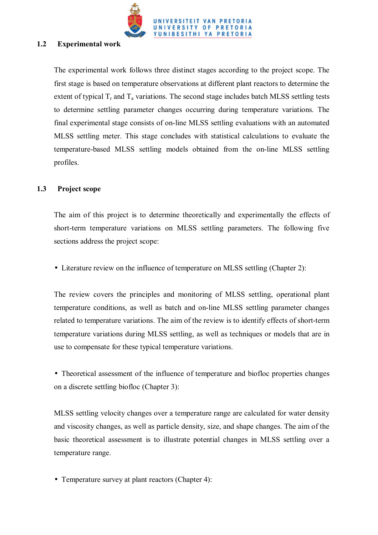

### **1.2 Experimental work**

The experimental work follows three distinct stages according to the project scope. The first stage is based on temperature observations at different plant reactors to determine the extent of typical  $T_r$  and  $T_a$  variations. The second stage includes batch MLSS settling tests to determine settling parameter changes occurring during temperature variations. The final experimental stage consists of on-line MLSS settling evaluations with an automated MLSS settling meter. This stage concludes with statistical calculations to evaluate the temperature-based MLSS settling models obtained from the on-line MLSS settling profiles.

#### **1.3 Project scope**

The aim of this project is to determine theoretically and experimentally the effects of short-term temperature variations on MLSS settling parameters. The following five sections address the project scope:

• Literature review on the influence of temperature on MLSS settling (Chapter 2):

The review covers the principles and monitoring of MLSS settling, operational plant temperature conditions, as well as batch and on-line MLSS settling parameter changes related to temperature variations. The aim of the review is to identify effects of short-term temperature variations during MLSS settling, as well as techniques or models that are in use to compensate for these typical temperature variations.

• Theoretical assessment of the influence of temperature and biofloc properties changes on a discrete settling biofloc (Chapter 3):

MLSS settling velocity changes over a temperature range are calculated for water density and viscosity changes, as well as particle density, size, and shape changes. The aim of the basic theoretical assessment is to illustrate potential changes in MLSS settling over a temperature range.

• Temperature survey at plant reactors (Chapter 4):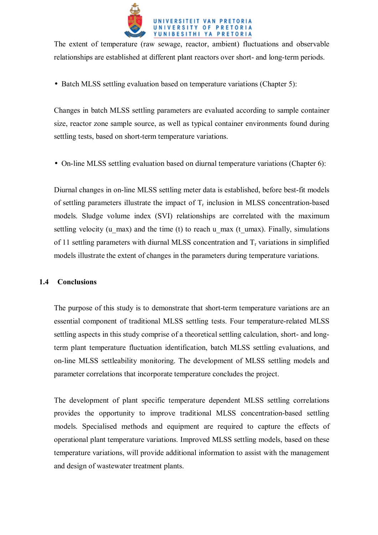

The extent of temperature (raw sewage, reactor, ambient) fluctuations and observable relationships are established at different plant reactors over short- and long-term periods.

• Batch MLSS settling evaluation based on temperature variations (Chapter 5):

Changes in batch MLSS settling parameters are evaluated according to sample container size, reactor zone sample source, as well as typical container environments found during settling tests, based on short-term temperature variations.

• On-line MLSS settling evaluation based on diurnal temperature variations (Chapter 6):

Diurnal changes in on-line MLSS settling meter data is established, before best-fit models of settling parameters illustrate the impact of  $T_r$  inclusion in MLSS concentration-based models. Sludge volume index (SVI) relationships are correlated with the maximum settling velocity (u\_max) and the time (t) to reach u\_max (t\_umax). Finally, simulations of 11 settling parameters with diurnal MLSS concentration and  $T_r$  variations in simplified models illustrate the extent of changes in the parameters during temperature variations.

# **1.4 Conclusions**

The purpose of this study is to demonstrate that short-term temperature variations are an essential component of traditional MLSS settling tests. Four temperature-related MLSS settling aspects in this study comprise of a theoretical settling calculation, short- and longterm plant temperature fluctuation identification, batch MLSS settling evaluations, and on-line MLSS settleability monitoring. The development of MLSS settling models and parameter correlations that incorporate temperature concludes the project.

The development of plant specific temperature dependent MLSS settling correlations provides the opportunity to improve traditional MLSS concentration-based settling models. Specialised methods and equipment are required to capture the effects of operational plant temperature variations. Improved MLSS settling models, based on these temperature variations, will provide additional information to assist with the management and design of wastewater treatment plants.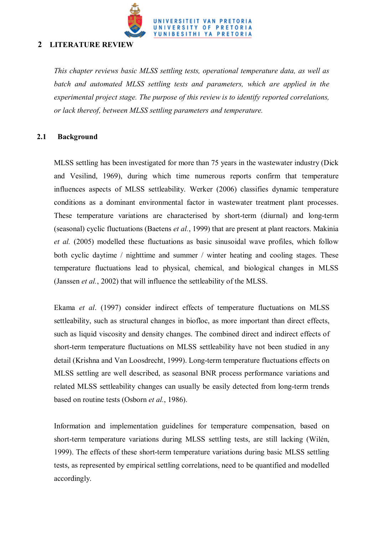

# **2 LITERATURE REVIEW**

*This chapter reviews basic MLSS settling tests, operational temperature data, as well as batch and automated MLSS settling tests and parameters, which are applied in the experimental project stage. The purpose of this review is to identify reported correlations, or lack thereof, between MLSS settling parameters and temperature.* 

## **2.1 Background**

MLSS settling has been investigated for more than 75 years in the wastewater industry (Dick and Vesilind, 1969), during which time numerous reports confirm that temperature influences aspects of MLSS settleability. Werker (2006) classifies dynamic temperature conditions as a dominant environmental factor in wastewater treatment plant processes. These temperature variations are characterised by short-term (diurnal) and long-term (seasonal) cyclic fluctuations (Baetens *et al.*, 1999) that are present at plant reactors. Makinia *et al.* (2005) modelled these fluctuations as basic sinusoidal wave profiles, which follow both cyclic daytime / nighttime and summer / winter heating and cooling stages. These temperature fluctuations lead to physical, chemical, and biological changes in MLSS (Janssen *et al.*, 2002) that will influence the settleability of the MLSS.

Ekama *et al*. (1997) consider indirect effects of temperature fluctuations on MLSS settleability, such as structural changes in biofloc, as more important than direct effects, such as liquid viscosity and density changes. The combined direct and indirect effects of short-term temperature fluctuations on MLSS settleability have not been studied in any detail (Krishna and Van Loosdrecht, 1999). Long-term temperature fluctuations effects on MLSS settling are well described, as seasonal BNR process performance variations and related MLSS settleability changes can usually be easily detected from long-term trends based on routine tests (Osborn *et al.*, 1986).

Information and implementation guidelines for temperature compensation, based on short-term temperature variations during MLSS settling tests, are still lacking (Wilén, 1999). The effects of these short-term temperature variations during basic MLSS settling tests, as represented by empirical settling correlations, need to be quantified and modelled accordingly.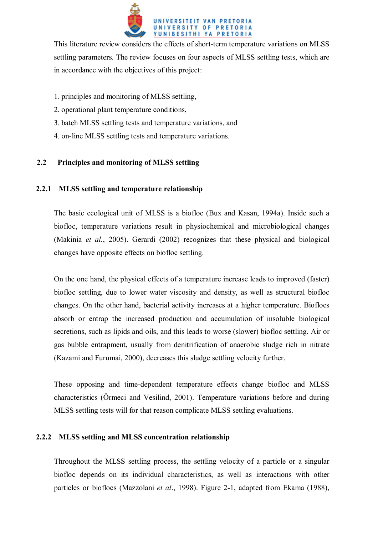

This literature review considers the effects of short-term temperature variations on MLSS settling parameters. The review focuses on four aspects of MLSS settling tests, which are in accordance with the objectives of this project:

- 1. principles and monitoring of MLSS settling,
- 2. operational plant temperature conditions,
- 3. batch MLSS settling tests and temperature variations, and
- 4. on-line MLSS settling tests and temperature variations.

# **2.2 Principles and monitoring of MLSS settling**

# **2.2.1 MLSS settling and temperature relationship**

The basic ecological unit of MLSS is a biofloc (Bux and Kasan, 1994a). Inside such a biofloc, temperature variations result in physiochemical and microbiological changes (Makinia *et al.*, 2005). Gerardi (2002) recognizes that these physical and biological changes have opposite effects on biofloc settling.

On the one hand, the physical effects of a temperature increase leads to improved (faster) biofloc settling, due to lower water viscosity and density, as well as structural biofloc changes. On the other hand, bacterial activity increases at a higher temperature. Bioflocs absorb or entrap the increased production and accumulation of insoluble biological secretions, such as lipids and oils, and this leads to worse (slower) biofloc settling. Air or gas bubble entrapment, usually from denitrification of anaerobic sludge rich in nitrate (Kazami and Furumai, 2000), decreases this sludge settling velocity further.

These opposing and time-dependent temperature effects change biofloc and MLSS characteristics (Örmeci and Vesilind, 2001). Temperature variations before and during MLSS settling tests will for that reason complicate MLSS settling evaluations.

# **2.2.2 MLSS settling and MLSS concentration relationship**

Throughout the MLSS settling process, the settling velocity of a particle or a singular biofloc depends on its individual characteristics, as well as interactions with other particles or bioflocs (Mazzolani *et al*., 1998). Figure 2-1, adapted from Ekama (1988),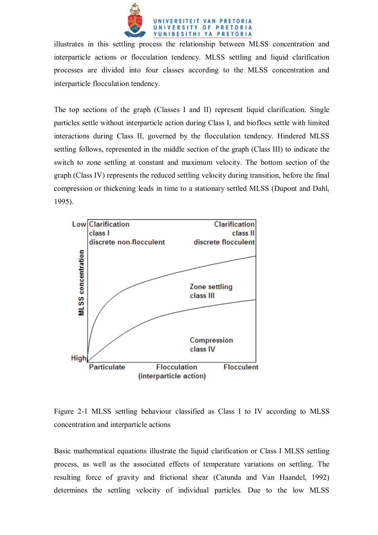

illustrates in this settling process the relationship between MLSS concentration and interparticle actions or flocculation tendency. MLSS settling and liquid clarification processes are divided into four classes according to the MLSS concentration and interparticle flocculation tendency.

The top sections of the graph (Classes I and II) represent liquid clarification. Single particles settle without interparticle action during Class I, and bioflocs settle with limited interactions during Class II, governed by the flocculation tendency. Hindered MLSS settling follows, represented in the middle section of the graph (Class III) to indicate the switch to zone settling at constant and maximum velocity. The bottom section of the graph (Class IV) represents the reduced settling velocity during transition, before the final compression or thickening leads in time to a stationary settled MLSS (Dupont and Dahl, 1995).



Figure 2-1 MLSS settling behaviour classified as Class I to IV according to MLSS concentration and interparticle actions

Basic mathematical equations illustrate the liquid clarification or Class I MLSS settling process, as well as the associated effects of temperature variations on settling. The resulting force of gravity and frictional shear (Catunda and Van Haandel, 1992) determines the settling velocity of individual particles. Due to the low MLSS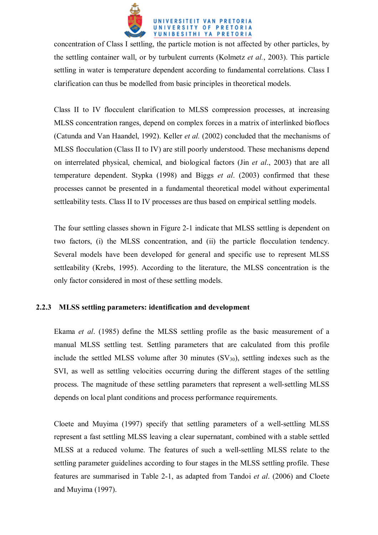

concentration of Class I settling, the particle motion is not affected by other particles, by the settling container wall, or by turbulent currents (Kolmetz *et al.*, 2003). This particle settling in water is temperature dependent according to fundamental correlations. Class I clarification can thus be modelled from basic principles in theoretical models.

Class II to IV flocculent clarification to MLSS compression processes, at increasing MLSS concentration ranges, depend on complex forces in a matrix of interlinked bioflocs (Catunda and Van Haandel, 1992). Keller *et al.* (2002) concluded that the mechanisms of MLSS flocculation (Class II to IV) are still poorly understood. These mechanisms depend on interrelated physical, chemical, and biological factors (Jin *et al*., 2003) that are all temperature dependent. Stypka (1998) and Biggs *et al*. (2003) confirmed that these processes cannot be presented in a fundamental theoretical model without experimental settleability tests. Class II to IV processes are thus based on empirical settling models.

The four settling classes shown in Figure 2-1 indicate that MLSS settling is dependent on two factors, (i) the MLSS concentration, and (ii) the particle flocculation tendency. Several models have been developed for general and specific use to represent MLSS settleability (Krebs, 1995). According to the literature, the MLSS concentration is the only factor considered in most of these settling models.

# **2.2.3 MLSS settling parameters: identification and development**

Ekama *et al*. (1985) define the MLSS settling profile as the basic measurement of a manual MLSS settling test. Settling parameters that are calculated from this profile include the settled MLSS volume after 30 minutes  $(SV_{30})$ , settling indexes such as the SVI, as well as settling velocities occurring during the different stages of the settling process. The magnitude of these settling parameters that represent a well-settling MLSS depends on local plant conditions and process performance requirements.

Cloete and Muyima (1997) specify that settling parameters of a well-settling MLSS represent a fast settling MLSS leaving a clear supernatant, combined with a stable settled MLSS at a reduced volume. The features of such a well-settling MLSS relate to the settling parameter guidelines according to four stages in the MLSS settling profile. These features are summarised in Table 2-1, as adapted from Tandoi *et al*. (2006) and Cloete and Muyima (1997).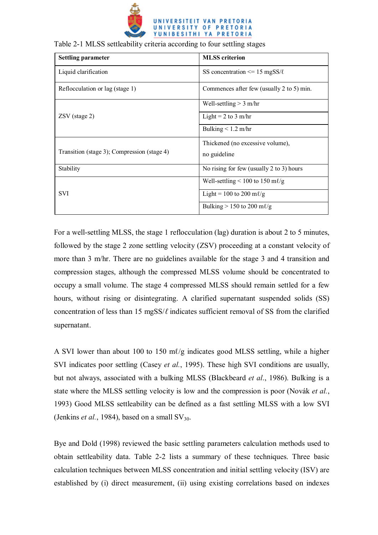

| <b>Settling parameter</b>                   | <b>MLSS</b> criterion                       |
|---------------------------------------------|---------------------------------------------|
| Liquid clarification                        | SS concentration $\leq$ 15 mgSS/ $\ell$     |
| Reflocculation or lag (stage 1)             | Commences after few (usually 2 to 5) min.   |
|                                             | Well-settling $> 3$ m/hr                    |
| ZSV (stage 2)                               | Light = $2$ to $3$ m/hr                     |
|                                             | Bulking $< 1.2$ m/hr                        |
|                                             | Thickened (no excessive volume),            |
| Transition (stage 3); Compression (stage 4) | no guideline                                |
| Stability                                   | No rising for few (usually 2 to 3) hours    |
|                                             | Well-settling $\leq 100$ to 150 m $\ell$ /g |
| <b>SVI</b>                                  | Light = 100 to 200 m $\ell$ /g              |
|                                             | Bulking $> 150$ to 200 m $\ell$ /g          |

#### Table 2-1 MLSS settleability criteria according to four settling stages

For a well-settling MLSS, the stage 1 reflocculation (lag) duration is about 2 to 5 minutes, followed by the stage 2 zone settling velocity (ZSV) proceeding at a constant velocity of more than 3 m/hr. There are no guidelines available for the stage 3 and 4 transition and compression stages, although the compressed MLSS volume should be concentrated to occupy a small volume. The stage 4 compressed MLSS should remain settled for a few hours, without rising or disintegrating. A clarified supernatant suspended solids (SS) concentration of less than 15 mgSS/*ℓ* indicates sufficient removal of SS from the clarified supernatant.

A SVI lower than about 100 to 150 m $\ell$ /g indicates good MLSS settling, while a higher SVI indicates poor settling (Casey *et al.*, 1995). These high SVI conditions are usually, but not always, associated with a bulking MLSS (Blackbeard *et al*., 1986). Bulking is a state where the MLSS settling velocity is low and the compression is poor (Novák *et al.*, 1993) Good MLSS settleability can be defined as a fast settling MLSS with a low SVI (Jenkins *et al.*, 1984), based on a small  $SV_{30}$ .

Bye and Dold (1998) reviewed the basic settling parameters calculation methods used to obtain settleability data. Table 2-2 lists a summary of these techniques. Three basic calculation techniques between MLSS concentration and initial settling velocity (ISV) are established by (i) direct measurement, (ii) using existing correlations based on indexes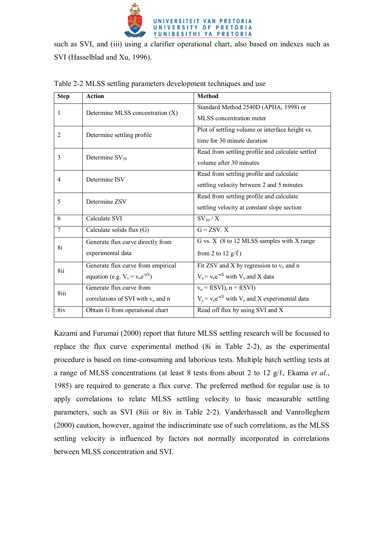

such as SVI, and (iii) using a clarifier operational chart, also based on indexes such as SVI (Hasselblad and Xu, 1996).

| <b>Step</b> | <b>Action</b>                        | <b>Method</b>                                          |
|-------------|--------------------------------------|--------------------------------------------------------|
| 1           | Determine MLSS concentration (X)     | Standard Method 2540D (APHA, 1998) or                  |
|             |                                      | MLSS concentration meter                               |
| 2           | Determine settling profile           | Plot of settling volume or interface height vs.        |
|             |                                      | time for 30 minute duration                            |
| 3           | Determine $SV_{30}$                  | Read from settling profile and calculate settled       |
|             |                                      | volume after 30 minutes                                |
| 4           | Determine ISV                        | Read from settling profile and calculate               |
|             |                                      | settling velocity between 2 and 5 minutes              |
| 5           | Determine ZSV                        | Read from settling profile and calculate               |
|             |                                      | settling velocity at constant slope section            |
| 6           | Calculate SVI                        | $SV_{30}/X$                                            |
| 7           | Calculate solids flux (G)            | $G = ZSV$ . X                                          |
|             | Generate flux curve directly from    | G vs. X (8 to 12 MLSS samples with X range             |
| <b>8i</b>   | experimental data                    | from 2 to 12 $g(\ell)$                                 |
| 8ii         | Generate flux curve from empirical   | Fit ZSV and X by regression to $v_0$ and n             |
|             | equation (e.g. $V_s = v_0 e^{nX}$ )  | $V_s = v_0 e^{-nX}$ with $V_s$ and X data              |
| 8iii        | Generate flux curve from             | $v_0 = f(SVI)$ , $n = f(SVI)$                          |
|             | correlations of SVI with $v_0$ and n | $V_s = v_0 e^{-nX}$ with $V_s$ and X experimental data |
| 8iv         | Obtain G from operational chart      | Read off flux by using SVI and X                       |

Table 2-2 MLSS settling parameters development techniques and use

Kazami and Furumai (2000) report that future MLSS settling research will be focussed to replace the flux curve experimental method (8i in Table 2-2), as the experimental procedure is based on time-consuming and laborious tests. Multiple batch settling tests at a range of MLSS concentrations (at least 8 tests from about 2 to 12 g/ℓ, Ekama *et al*., 1985) are required to generate a flux curve. The preferred method for regular use is to apply correlations to relate MLSS settling velocity to basic measurable settling parameters, such as SVI (8iii or 8iv in Table 2-2). Vanderhasselt and Vanrolleghem (2000) caution, however, against the indiscriminate use of such correlations, as the MLSS settling velocity is influenced by factors not normally incorporated in correlations between MLSS concentration and SVI.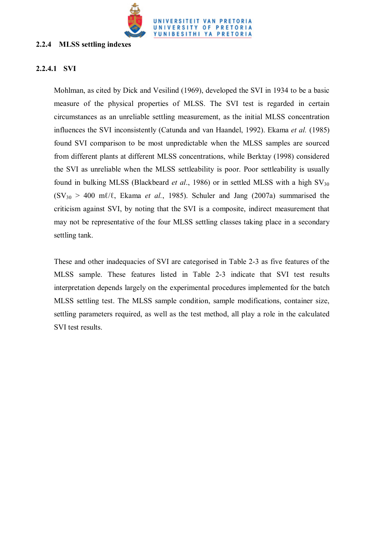

## **2.2.4 MLSS settling indexes**

# **2.2.4.1 SVI**

Mohlman, as cited by Dick and Vesilind (1969), developed the SVI in 1934 to be a basic measure of the physical properties of MLSS. The SVI test is regarded in certain circumstances as an unreliable settling measurement, as the initial MLSS concentration influences the SVI inconsistently (Catunda and van Haandel, 1992). Ekama *et al.* (1985) found SVI comparison to be most unpredictable when the MLSS samples are sourced from different plants at different MLSS concentrations, while Berktay (1998) considered the SVI as unreliable when the MLSS settleability is poor. Poor settleability is usually found in bulking MLSS (Blackbeard *et al.*, 1986) or in settled MLSS with a high  $SV_{30}$  $(SV_{30} > 400 \text{ mV/L}$ , Ekama *et al.*, 1985). Schuler and Jang (2007a) summarised the criticism against SVI, by noting that the SVI is a composite, indirect measurement that may not be representative of the four MLSS settling classes taking place in a secondary settling tank.

These and other inadequacies of SVI are categorised in Table 2-3 as five features of the MLSS sample. These features listed in Table 2-3 indicate that SVI test results interpretation depends largely on the experimental procedures implemented for the batch MLSS settling test. The MLSS sample condition, sample modifications, container size, settling parameters required, as well as the test method, all play a role in the calculated SVI test results.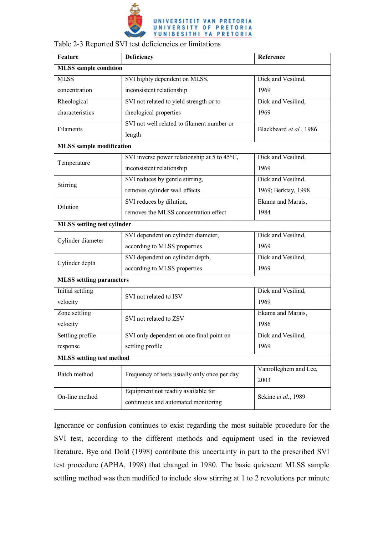

| Feature                            | <b>Deficiency</b>                                      | Reference               |  |
|------------------------------------|--------------------------------------------------------|-------------------------|--|
| <b>MLSS</b> sample condition       |                                                        |                         |  |
| <b>MLSS</b>                        | SVI highly dependent on MLSS,                          | Dick and Vesilind,      |  |
| concentration                      | inconsistent relationship                              | 1969                    |  |
| Rheological                        | SVI not related to yield strength or to                | Dick and Vesilind,      |  |
| characteristics                    | rheological properties                                 | 1969                    |  |
| Filaments                          | SVI not well related to filament number or             | Blackbeard et al., 1986 |  |
|                                    | length                                                 |                         |  |
| <b>MLSS</b> sample modification    |                                                        |                         |  |
| Temperature                        | SVI inverse power relationship at 5 to $45^{\circ}$ C, | Dick and Vesilind,      |  |
|                                    | inconsistent relationship                              | 1969                    |  |
| <b>Stirring</b>                    | SVI reduces by gentle stirring,                        | Dick and Vesilind,      |  |
|                                    | removes cylinder wall effects                          | 1969; Berktay, 1998     |  |
| Dilution                           | SVI reduces by dilution,                               | Ekama and Marais,       |  |
|                                    | removes the MLSS concentration effect                  | 1984                    |  |
| <b>MLSS</b> settling test cylinder |                                                        |                         |  |
| Cylinder diameter                  | SVI dependent on cylinder diameter,                    | Dick and Vesilind,      |  |
|                                    | according to MLSS properties                           | 1969                    |  |
| Cylinder depth                     | SVI dependent on cylinder depth,                       | Dick and Vesilind,      |  |
|                                    | according to MLSS properties                           | 1969                    |  |
| <b>MLSS</b> settling parameters    |                                                        |                         |  |
| Initial settling                   | SVI not related to ISV                                 | Dick and Vesilind,      |  |
| velocity                           |                                                        | 1969                    |  |
| Zone settling                      | SVI not related to ZSV                                 | Ekama and Marais,       |  |
| velocity                           |                                                        | 1986                    |  |
| Settling profile                   | SVI only dependent on one final point on               | Dick and Vesilind,      |  |
| response                           | settling profile                                       | 1969                    |  |
| <b>MLSS</b> settling test method   |                                                        |                         |  |
| Batch method                       | Frequency of tests usually only once per day           | Vanrolleghem and Lee,   |  |
|                                    |                                                        | 2003                    |  |
| On-line method                     | Equipment not readily available for                    | Sekine et al., 1989     |  |
|                                    | continuous and automated monitoring                    |                         |  |

Ignorance or confusion continues to exist regarding the most suitable procedure for the SVI test, according to the different methods and equipment used in the reviewed literature. Bye and Dold (1998) contribute this uncertainty in part to the prescribed SVI test procedure (APHA, 1998) that changed in 1980. The basic quiescent MLSS sample settling method was then modified to include slow stirring at 1 to 2 revolutions per minute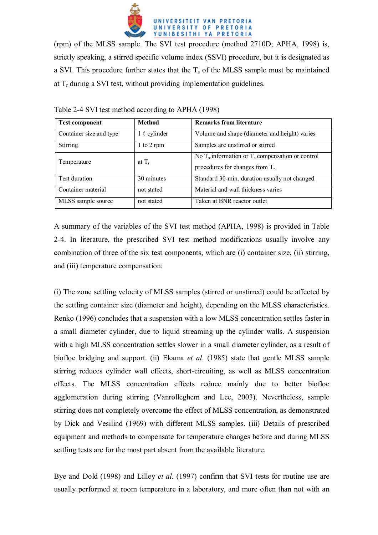

(rpm) of the MLSS sample. The SVI test procedure (method 2710D; APHA, 1998) is, strictly speaking, a stirred specific volume index (SSVI) procedure, but it is designated as a SVI. This procedure further states that the  $T_s$  of the MLSS sample must be maintained at  $T_r$  during a SVI test, without providing implementation guidelines.

| <b>Test component</b>   | <b>Method</b>     | <b>Remarks from literature</b>                                                             |
|-------------------------|-------------------|--------------------------------------------------------------------------------------------|
| Container size and type | $1 \ell$ cylinder | Volume and shape (diameter and height) varies                                              |
| <b>Stirring</b>         | 1 to 2 rpm        | Samples are unstirred or stirred                                                           |
| Temperature             | at $T_r$          | No $T_s$ information or $T_s$ compensation or control<br>procedures for changes from $T_r$ |
| Test duration           | 30 minutes        | Standard 30-min. duration usually not changed                                              |
| Container material      | not stated        | Material and wall thickness varies                                                         |
| MLSS sample source      | not stated        | Taken at BNR reactor outlet                                                                |

Table 2-4 SVI test method according to APHA (1998)

A summary of the variables of the SVI test method (APHA, 1998) is provided in Table 2-4. In literature, the prescribed SVI test method modifications usually involve any combination of three of the six test components, which are (i) container size, (ii) stirring, and (iii) temperature compensation:

(i) The zone settling velocity of MLSS samples (stirred or unstirred) could be affected by the settling container size (diameter and height), depending on the MLSS characteristics. Renko (1996) concludes that a suspension with a low MLSS concentration settles faster in a small diameter cylinder, due to liquid streaming up the cylinder walls. A suspension with a high MLSS concentration settles slower in a small diameter cylinder, as a result of biofloc bridging and support. (ii) Ekama *et al*. (1985) state that gentle MLSS sample stirring reduces cylinder wall effects, short-circuiting, as well as MLSS concentration effects. The MLSS concentration effects reduce mainly due to better biofloc agglomeration during stirring (Vanrolleghem and Lee, 2003). Nevertheless, sample stirring does not completely overcome the effect of MLSS concentration, as demonstrated by Dick and Vesilind (1969) with different MLSS samples. (iii) Details of prescribed equipment and methods to compensate for temperature changes before and during MLSS settling tests are for the most part absent from the available literature.

Bye and Dold (1998) and Lilley *et al.* (1997) confirm that SVI tests for routine use are usually performed at room temperature in a laboratory, and more often than not with an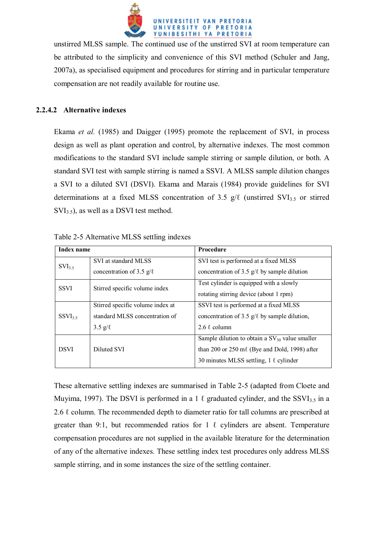

unstirred MLSS sample. The continued use of the unstirred SVI at room temperature can be attributed to the simplicity and convenience of this SVI method (Schuler and Jang, 2007a), as specialised equipment and procedures for stirring and in particular temperature compensation are not readily available for routine use.

## **2.2.4.2 Alternative indexes**

Ekama *et al.* (1985) and Daigger (1995) promote the replacement of SVI, in process design as well as plant operation and control, by alternative indexes. The most common modifications to the standard SVI include sample stirring or sample dilution, or both. A standard SVI test with sample stirring is named a SSVI. A MLSS sample dilution changes a SVI to a diluted SVI (DSVI). Ekama and Marais (1984) provide guidelines for SVI determinations at a fixed MLSS concentration of 3.5  $g/\ell$  (unstirred SVI<sub>3.5</sub> or stirred  $SVI_{3.5}$ ), as well as a DSVI test method.

| Index name                                   |                                  | <b>Procedure</b>                                            |  |
|----------------------------------------------|----------------------------------|-------------------------------------------------------------|--|
| $SVI_{3.5}$                                  | SVI at standard MLSS             | SVI test is performed at a fixed MLSS                       |  |
|                                              | concentration of 3.5 $g/\ell$    | concentration of 3.5 $g/\ell$ by sample dilution            |  |
| <b>SSVI</b><br>Stirred specific volume index |                                  | Test cylinder is equipped with a slowly                     |  |
|                                              |                                  | rotating stirring device (about 1 rpm)                      |  |
|                                              | Stirred specific volume index at | SSVI test is performed at a fixed MLSS                      |  |
| $SSVI_{3.5}$                                 | standard MLSS concentration of   | concentration of 3.5 $g/\ell$ by sample dilution,           |  |
|                                              | $3.5 \text{ g}/\ell$             | 2.6 $\ell$ column                                           |  |
|                                              |                                  | Sample dilution to obtain a $SV_{30}$ value smaller         |  |
| <b>DSVI</b>                                  | Diluted SVI                      | than 200 or $250 \text{ m} \ell$ (Bye and Dold, 1998) after |  |
|                                              |                                  | 30 minutes MLSS settling, 1 $\ell$ cylinder                 |  |
|                                              |                                  |                                                             |  |

Table 2-5 Alternative MLSS settling indexes

These alternative settling indexes are summarised in Table 2-5 (adapted from Cloete and Muyima, 1997). The DSVI is performed in a 1  $\ell$  graduated cylinder, and the SSVI<sub>3.5</sub> in a 2.6  $\ell$  column. The recommended depth to diameter ratio for tall columns are prescribed at greater than 9:1, but recommended ratios for 1  $\ell$  cylinders are absent. Temperature compensation procedures are not supplied in the available literature for the determination of any of the alternative indexes. These settling index test procedures only address MLSS sample stirring, and in some instances the size of the settling container.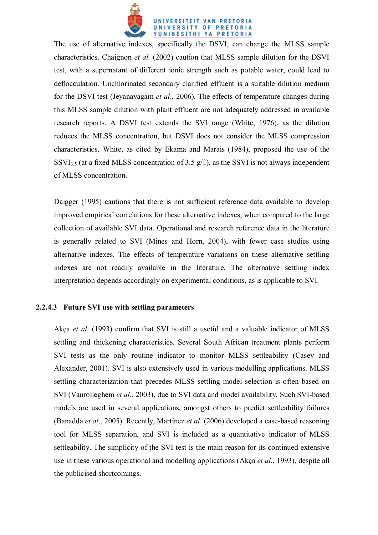

The use of alternative indexes, specifically the DSVI, can change the MLSS sample characteristics. Chaignon *et al.* (2002) caution that MLSS sample dilution for the DSVI test, with a supernatant of different ionic strength such as potable water, could lead to deflocculation. Unchlorinated secondary clarified effluent is a suitable dilution medium for the DSVI test (Jeyanayagam *et al*., 2006). The effects of temperature changes during this MLSS sample dilution with plant effluent are not adequately addressed in available research reports. A DSVI test extends the SVI range (White, 1976), as the dilution reduces the MLSS concentration, but DSVI does not consider the MLSS compression characteristics. White, as cited by Ekama and Marais (1984), proposed the use of the SSVI<sub>3.5</sub> (at a fixed MLSS concentration of 3.5  $g/l$ ), as the SSVI is not always independent of MLSS concentration.

Daigger (1995) cautions that there is not sufficient reference data available to develop improved empirical correlations for these alternative indexes, when compared to the large collection of available SVI data. Operational and research reference data in the literature is generally related to SVI (Mines and Horn, 2004), with fewer case studies using alternative indexes. The effects of temperature variations on these alternative settling indexes are not readily available in the literature. The alternative settling index interpretation depends accordingly on experimental conditions, as is applicable to SVI.

#### **2.2.4.3 Future SVI use with settling parameters**

Akça *et al.* (1993) confirm that SVI is still a useful and a valuable indicator of MLSS settling and thickening characteristics. Several South African treatment plants perform SVI tests as the only routine indicator to monitor MLSS settleability (Casey and Alexander, 2001). SVI is also extensively used in various modelling applications. MLSS settling characterization that precedes MLSS settling model selection is often based on SVI (Vanrolleghem *et al.*, 2003), due to SVI data and model availability. Such SVI-based models are used in several applications, amongst others to predict settleability failures (Banadda *et al*., 2005). Recently, Martínez *et al*. (2006) developed a case-based reasoning tool for MLSS separation, and SVI is included as a quantitative indicator of MLSS settleability. The simplicity of the SVI test is the main reason for its continued extensive use in these various operational and modelling applications (Akça *et al*., 1993), despite all the publicised shortcomings.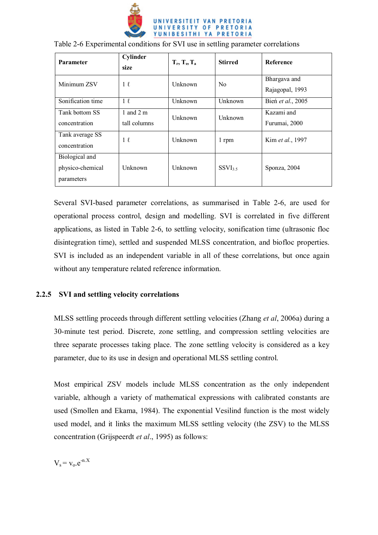

| <b>Parameter</b>                                 | Cylinder<br>size          | $T_r, T_s, T_a$ | <b>Stirred</b> | <b>Reference</b>                |
|--------------------------------------------------|---------------------------|-----------------|----------------|---------------------------------|
| Minimum ZSV                                      | $1\ell$                   | Unknown         | N <sub>0</sub> | Bhargava and<br>Rajagopal, 1993 |
| Sonification time                                | $1\ell$                   | Unknown         | Unknown        | Bien et al., 2005               |
| Tank bottom SS<br>concentration                  | 1 and 2 m<br>tall columns | Unknown         | Unknown        | Kazami and<br>Furumai, 2000     |
| Tank average SS<br>concentration                 | $1\ell$                   | <b>Unknown</b>  | 1 rpm          | Kim et al., 1997                |
| Biological and<br>physico-chemical<br>parameters | Unknown                   | <b>Unknown</b>  | $SSVI_{3.5}$   | Sponza, 2004                    |

Table 2-6 Experimental conditions for SVI use in settling parameter correlations

Several SVI-based parameter correlations, as summarised in Table 2-6, are used for operational process control, design and modelling. SVI is correlated in five different applications, as listed in Table 2-6, to settling velocity, sonification time (ultrasonic floc disintegration time), settled and suspended MLSS concentration, and biofloc properties. SVI is included as an independent variable in all of these correlations, but once again without any temperature related reference information.

### **2.2.5 SVI and settling velocity correlations**

MLSS settling proceeds through different settling velocities (Zhang *et al*, 2006a) during a 30-minute test period. Discrete, zone settling, and compression settling velocities are three separate processes taking place. The zone settling velocity is considered as a key parameter, due to its use in design and operational MLSS settling control.

Most empirical ZSV models include MLSS concentration as the only independent variable, although a variety of mathematical expressions with calibrated constants are used (Smollen and Ekama, 1984). The exponential Vesilind function is the most widely used model, and it links the maximum MLSS settling velocity (the ZSV) to the MLSS concentration (Grijspeerdt *et al*., 1995) as follows:

 $V_s = v_0.e^{-n.X}$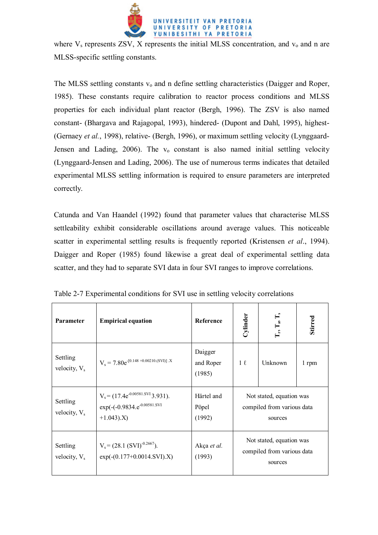

where  $V_s$  represents ZSV, X represents the initial MLSS concentration, and  $v_0$  and n are MLSS-specific settling constants.

The MLSS settling constants  $v_0$  and n define settling characteristics (Daigger and Roper, 1985). These constants require calibration to reactor process conditions and MLSS properties for each individual plant reactor (Bergh, 1996). The ZSV is also named constant- (Bhargava and Rajagopal, 1993), hindered- (Dupont and Dahl, 1995), highest- (Gernaey *et al.*, 1998), relative- (Bergh, 1996), or maximum settling velocity (Lynggaard-Jensen and Lading, 2006). The  $v_0$  constant is also named initial settling velocity (Lynggaard-Jensen and Lading, 2006). The use of numerous terms indicates that detailed experimental MLSS settling information is required to ensure parameters are interpreted correctly.

Catunda and Van Haandel (1992) found that parameter values that characterise MLSS settleability exhibit considerable oscillations around average values. This noticeable scatter in experimental settling results is frequently reported (Kristensen *et al*., 1994). Daigger and Roper (1985) found likewise a great deal of experimental settling data scatter, and they had to separate SVI data in four SVI ranges to improve correlations.

| <b>Parameter</b>                     | <b>Empirical equation</b>                                                                        | <b>Reference</b>               | Cylinder                                                          | $\mathbf{H}$<br>$T_r, T_s$                                        | Stirred |
|--------------------------------------|--------------------------------------------------------------------------------------------------|--------------------------------|-------------------------------------------------------------------|-------------------------------------------------------------------|---------|
| Settling<br>velocity, V <sub>s</sub> | $V_s = 7.80e^{-[0.148 + 0.00210.(SVI)]}$ .X                                                      | Daigger<br>and Roper<br>(1985) | $1\ell$                                                           | Unknown                                                           | 1 rpm   |
| Settling<br>velocity, V <sub>s</sub> | $V_s = (17.4e^{-0.00581.SVI}3.931).$<br>exp(-(-0.9834.e <sup>-0.00581.SVI</sup><br>$+1.043$ ).X) | Härtel and<br>Pöpel<br>(1992)  |                                                                   | Not stated, equation was<br>compiled from various data<br>sources |         |
| Settling<br>velocity, $V_s$          | $V_s = (28.1 (SVI)^{-0.2667}).$<br>$exp(-(0.177+0.0014.SVI).X)$                                  | Akça et al.<br>(1993)          | Not stated, equation was<br>compiled from various data<br>sources |                                                                   |         |

Table 2-7 Experimental conditions for SVI use in settling velocity correlations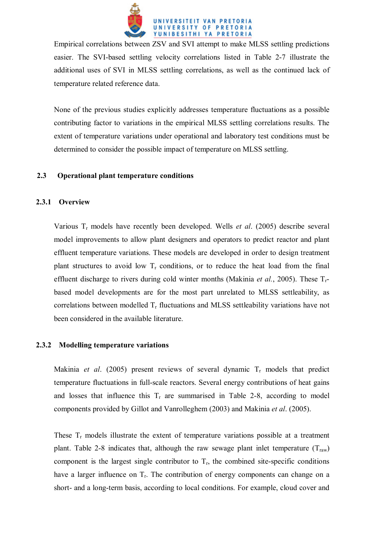

Empirical correlations between ZSV and SVI attempt to make MLSS settling predictions easier. The SVI-based settling velocity correlations listed in Table 2-7 illustrate the additional uses of SVI in MLSS settling correlations, as well as the continued lack of temperature related reference data.

None of the previous studies explicitly addresses temperature fluctuations as a possible contributing factor to variations in the empirical MLSS settling correlations results. The extent of temperature variations under operational and laboratory test conditions must be determined to consider the possible impact of temperature on MLSS settling.

## **2.3 Operational plant temperature conditions**

## **2.3.1 Overview**

Various Tr models have recently been developed. Wells *et al*. (2005) describe several model improvements to allow plant designers and operators to predict reactor and plant effluent temperature variations. These models are developed in order to design treatment plant structures to avoid low  $T_r$  conditions, or to reduce the heat load from the final effluent discharge to rivers during cold winter months (Makinia *et al.*, 2005). These Trbased model developments are for the most part unrelated to MLSS settleability, as correlations between modelled  $T_r$  fluctuations and MLSS settleability variations have not been considered in the available literature.

### **2.3.2 Modelling temperature variations**

Makinia *et al.* (2005) present reviews of several dynamic  $T_r$  models that predict temperature fluctuations in full-scale reactors. Several energy contributions of heat gains and losses that influence this  $T_r$  are summarised in Table 2-8, according to model components provided by Gillot and Vanrolleghem (2003) and Makinia *et al*. (2005).

These  $T_r$  models illustrate the extent of temperature variations possible at a treatment plant. Table 2-8 indicates that, although the raw sewage plant inlet temperature  $(T_{raw})$ component is the largest single contributor to  $T_r$ , the combined site-specific conditions have a larger influence on  $T_r$ . The contribution of energy components can change on a short- and a long-term basis, according to local conditions. For example, cloud cover and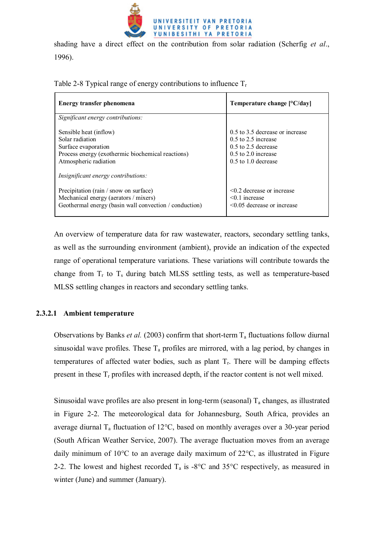

shading have a direct effect on the contribution from solar radiation (Scherfig *et al*., 1996).

| Energy transfer phenomena                                                                                                                                                             | Temperature change $[°C/day]$                                                                                                         |
|---------------------------------------------------------------------------------------------------------------------------------------------------------------------------------------|---------------------------------------------------------------------------------------------------------------------------------------|
| Significant energy contributions:                                                                                                                                                     |                                                                                                                                       |
| Sensible heat (inflow)<br>Solar radiation<br>Surface evaporation<br>Process energy (exothermic biochemical reactions)<br>Atmospheric radiation<br>Insignificant energy contributions: | 0.5 to 3.5 decrease or increase<br>$0.5$ to 2.5 increase<br>$0.5$ to 2.5 decrease<br>$0.5$ to $2.0$ increase<br>$0.5$ to 1.0 decrease |
| Precipitation (rain / snow on surface)<br>Mechanical energy (aerators / mixers)<br>Geothermal energy (basin wall convection / conduction)                                             | $\leq$ 0.2 decrease or increase<br>$< 0.1$ increase<br>$\leq$ 0.05 decrease or increase                                               |

Table 2-8 Typical range of energy contributions to influence  $T_r$ 

An overview of temperature data for raw wastewater, reactors, secondary settling tanks, as well as the surrounding environment (ambient), provide an indication of the expected range of operational temperature variations. These variations will contribute towards the change from  $T_r$  to  $T_s$  during batch MLSS settling tests, as well as temperature-based MLSS settling changes in reactors and secondary settling tanks.

# **2.3.2.1 Ambient temperature**

Observations by Banks *et al.* (2003) confirm that short-term  $T_a$  fluctuations follow diurnal sinusoidal wave profiles. These  $T_a$  profiles are mirrored, with a lag period, by changes in temperatures of affected water bodies, such as plant  $T_r$ . There will be damping effects present in these  $T_r$  profiles with increased depth, if the reactor content is not well mixed.

Sinusoidal wave profiles are also present in long-term (seasonal)  $T_a$  changes, as illustrated in Figure 2-2. The meteorological data for Johannesburg, South Africa, provides an average diurnal  $T_a$  fluctuation of 12°C, based on monthly averages over a 30-year period (South African Weather Service, 2007). The average fluctuation moves from an average daily minimum of 10°C to an average daily maximum of 22°C, as illustrated in Figure 2-2. The lowest and highest recorded  $T_a$  is -8°C and 35°C respectively, as measured in winter (June) and summer (January).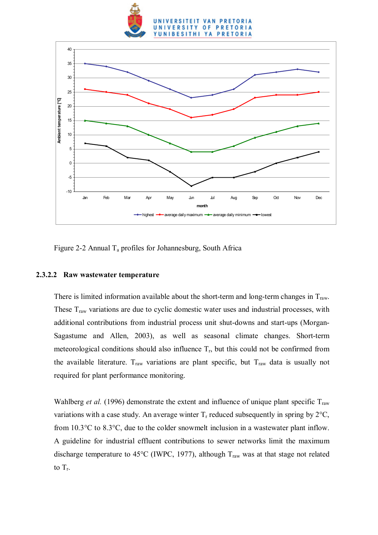



Figure 2-2 Annual  $T_a$  profiles for Johannesburg, South Africa

### **2.3.2.2 Raw wastewater temperature**

There is limited information available about the short-term and long-term changes in  $T_{\text{raw}}$ . These  $T<sub>raw</sub>$  variations are due to cyclic domestic water uses and industrial processes, with additional contributions from industrial process unit shut-downs and start-ups (Morgan-Sagastume and Allen, 2003), as well as seasonal climate changes. Short-term meteorological conditions should also influence  $T_r$ , but this could not be confirmed from the available literature.  $T_{\text{raw}}$  variations are plant specific, but  $T_{\text{raw}}$  data is usually not required for plant performance monitoring.

Wahlberg *et al.* (1996) demonstrate the extent and influence of unique plant specific  $T_{\text{raw}}$ variations with a case study. An average winter  $T_r$  reduced subsequently in spring by  $2^{\circ}C$ , from 10.3°C to 8.3°C, due to the colder snowmelt inclusion in a wastewater plant inflow. A guideline for industrial effluent contributions to sewer networks limit the maximum discharge temperature to 45°C (IWPC, 1977), although  $T_{raw}$  was at that stage not related to  $T_r$ .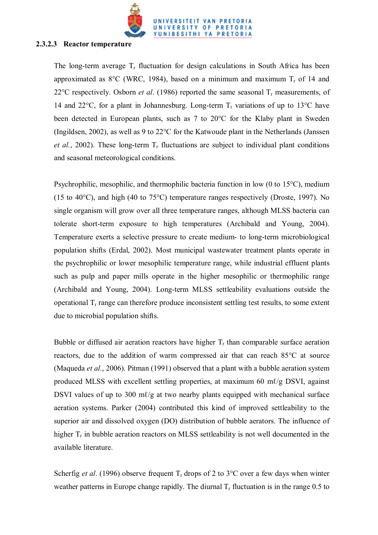

#### **2.3.2.3 Reactor temperature**

The long-term average  $T_r$  fluctuation for design calculations in South Africa has been approximated as  $8^{\circ}$ C (WRC, 1984), based on a minimum and maximum  $T_r$  of 14 and 22 $\degree$ C respectively. Osborn *et al.* (1986) reported the same seasonal  $T_r$  measurements, of 14 and 22 $^{\circ}$ C, for a plant in Johannesburg. Long-term  $T_r$  variations of up to 13 $^{\circ}$ C have been detected in European plants, such as 7 to 20°C for the Klaby plant in Sweden (Ingildsen, 2002), as well as 9 to 22°C for the Katwoude plant in the Netherlands (Janssen *et al.*, 2002). These long-term  $T_r$  fluctuations are subject to individual plant conditions and seasonal meteorological conditions.

Psychrophilic, mesophilic, and thermophilic bacteria function in low (0 to 15°C), medium (15 to 40°C), and high (40 to 75°C) temperature ranges respectively (Droste, 1997). No single organism will grow over all three temperature ranges, although MLSS bacteria can tolerate short-term exposure to high temperatures (Archibald and Young, 2004). Temperature exerts a selective pressure to create medium- to long-term microbiological population shifts (Erdal, 2002). Most municipal wastewater treatment plants operate in the psychrophilic or lower mesophilic temperature range, while industrial effluent plants such as pulp and paper mills operate in the higher mesophilic or thermophilic range (Archibald and Young, 2004). Long-term MLSS settleability evaluations outside the operational  $T_r$  range can therefore produce inconsistent settling test results, to some extent due to microbial population shifts.

Bubble or diffused air aeration reactors have higher  $T_r$  than comparable surface aeration reactors, due to the addition of warm compressed air that can reach 85°C at source (Maqueda *et al.*, 2006). Pitman (1991) observed that a plant with a bubble aeration system produced MLSS with excellent settling properties, at maximum 60 m $\ell$ /g DSVI, against DSVI values of up to 300 m $\ell$ /g at two nearby plants equipped with mechanical surface aeration systems. Parker (2004) contributed this kind of improved settleability to the superior air and dissolved oxygen (DO) distribution of bubble aerators. The influence of higher  $T_r$  in bubble aeration reactors on MLSS settleability is not well documented in the available literature.

Scherfig *et al.* (1996) observe frequent  $T_r$  drops of 2 to 3<sup>o</sup>C over a few days when winter weather patterns in Europe change rapidly. The diurnal  $T_r$  fluctuation is in the range 0.5 to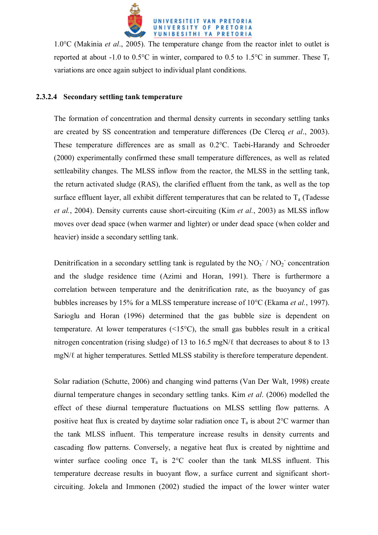

1.0°C (Makinia *et al*., 2005). The temperature change from the reactor inlet to outlet is reported at about -1.0 to 0.5°C in winter, compared to 0.5 to 1.5°C in summer. These  $T_r$ variations are once again subject to individual plant conditions.

### **2.3.2.4 Secondary settling tank temperature**

The formation of concentration and thermal density currents in secondary settling tanks are created by SS concentration and temperature differences (De Clercq *et al*., 2003). These temperature differences are as small as 0.2°C. Taebi-Harandy and Schroeder (2000) experimentally confirmed these small temperature differences, as well as related settleability changes. The MLSS inflow from the reactor, the MLSS in the settling tank, the return activated sludge (RAS), the clarified effluent from the tank, as well as the top surface effluent layer, all exhibit different temperatures that can be related to  $T_a$  (Tadesse *et al.*, 2004). Density currents cause short-circuiting (Kim *et al.*, 2003) as MLSS inflow moves over dead space (when warmer and lighter) or under dead space (when colder and heavier) inside a secondary settling tank.

Denitrification in a secondary settling tank is regulated by the  $NO<sub>3</sub><sup>-</sup>/ NO<sub>2</sub><sup>-</sup> concentration$ and the sludge residence time (Azimi and Horan, 1991). There is furthermore a correlation between temperature and the denitrification rate, as the buoyancy of gas bubbles increases by 15% for a MLSS temperature increase of 10°C (Ekama *et al.*, 1997). Sarioglu and Horan (1996) determined that the gas bubble size is dependent on temperature. At lower temperatures (<15°C), the small gas bubbles result in a critical nitrogen concentration (rising sludge) of 13 to 16.5 mgN/ℓ that decreases to about 8 to 13 mgN/ℓ at higher temperatures. Settled MLSS stability is therefore temperature dependent.

Solar radiation (Schutte, 2006) and changing wind patterns (Van Der Walt, 1998) create diurnal temperature changes in secondary settling tanks. Kim *et al*. (2006) modelled the effect of these diurnal temperature fluctuations on MLSS settling flow patterns. A positive heat flux is created by daytime solar radiation once  $T_a$  is about  $2^{\circ}$ C warmer than the tank MLSS influent. This temperature increase results in density currents and cascading flow patterns. Conversely, a negative heat flux is created by nighttime and winter surface cooling once  $T_a$  is  $2^{\circ}$ C cooler than the tank MLSS influent. This temperature decrease results in buoyant flow, a surface current and significant shortcircuiting. Jokela and Immonen (2002) studied the impact of the lower winter water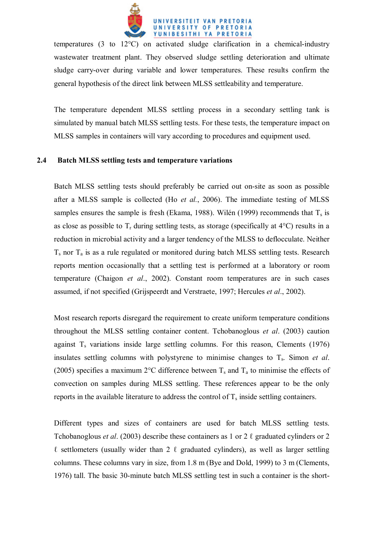

temperatures (3 to 12°C) on activated sludge clarification in a chemical-industry wastewater treatment plant. They observed sludge settling deterioration and ultimate sludge carry-over during variable and lower temperatures. These results confirm the general hypothesis of the direct link between MLSS settleability and temperature.

The temperature dependent MLSS settling process in a secondary settling tank is simulated by manual batch MLSS settling tests. For these tests, the temperature impact on MLSS samples in containers will vary according to procedures and equipment used.

#### **2.4 Batch MLSS settling tests and temperature variations**

Batch MLSS settling tests should preferably be carried out on-site as soon as possible after a MLSS sample is collected (Ho *et al.*, 2006). The immediate testing of MLSS samples ensures the sample is fresh (Ekama, 1988). Wilén (1999) recommends that  $T_s$  is as close as possible to  $T_r$  during settling tests, as storage (specifically at  $4^{\circ}$ C) results in a reduction in microbial activity and a larger tendency of the MLSS to deflocculate. Neither  $T_s$  nor  $T_a$  is as a rule regulated or monitored during batch MLSS settling tests. Research reports mention occasionally that a settling test is performed at a laboratory or room temperature (Chaigon *et al*., 2002). Constant room temperatures are in such cases assumed, if not specified (Grijspeerdt and Verstraete, 1997; Hercules *et al*., 2002).

Most research reports disregard the requirement to create uniform temperature conditions throughout the MLSS settling container content. Tchobanoglous *et al*. (2003) caution against  $T_s$  variations inside large settling columns. For this reason, Clements (1976) insulates settling columns with polystyrene to minimise changes to T<sub>s</sub>. Simon *et al.* (2005) specifies a maximum 2°C difference between  $T_s$  and  $T_a$  to minimise the effects of convection on samples during MLSS settling. These references appear to be the only reports in the available literature to address the control of  $T_s$  inside settling containers.

Different types and sizes of containers are used for batch MLSS settling tests. Tchobanoglous *et al*. (2003) describe these containers as 1 or 2 ℓ graduated cylinders or 2  $\ell$  settlometers (usually wider than 2  $\ell$  graduated cylinders), as well as larger settling columns. These columns vary in size, from 1.8 m (Bye and Dold, 1999) to 3 m (Clements, 1976) tall. The basic 30-minute batch MLSS settling test in such a container is the short-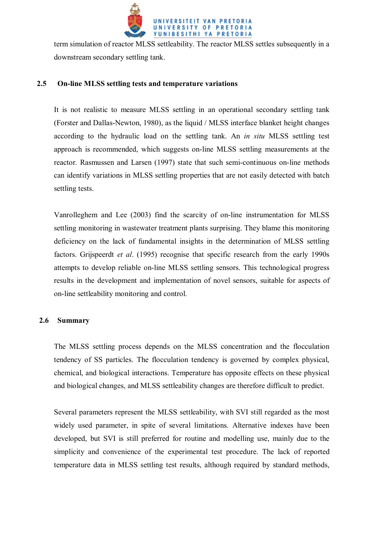

term simulation of reactor MLSS settleability. The reactor MLSS settles subsequently in a downstream secondary settling tank.

# **2.5 On-line MLSS settling tests and temperature variations**

It is not realistic to measure MLSS settling in an operational secondary settling tank (Forster and Dallas-Newton, 1980), as the liquid / MLSS interface blanket height changes according to the hydraulic load on the settling tank. An *in situ* MLSS settling test approach is recommended, which suggests on-line MLSS settling measurements at the reactor. Rasmussen and Larsen (1997) state that such semi-continuous on-line methods can identify variations in MLSS settling properties that are not easily detected with batch settling tests.

Vanrolleghem and Lee (2003) find the scarcity of on-line instrumentation for MLSS settling monitoring in wastewater treatment plants surprising. They blame this monitoring deficiency on the lack of fundamental insights in the determination of MLSS settling factors. Grijspeerdt *et al*. (1995) recognise that specific research from the early 1990s attempts to develop reliable on-line MLSS settling sensors. This technological progress results in the development and implementation of novel sensors, suitable for aspects of on-line settleability monitoring and control.

### **2.6 Summary**

The MLSS settling process depends on the MLSS concentration and the flocculation tendency of SS particles. The flocculation tendency is governed by complex physical, chemical, and biological interactions. Temperature has opposite effects on these physical and biological changes, and MLSS settleability changes are therefore difficult to predict.

Several parameters represent the MLSS settleability, with SVI still regarded as the most widely used parameter, in spite of several limitations. Alternative indexes have been developed, but SVI is still preferred for routine and modelling use, mainly due to the simplicity and convenience of the experimental test procedure. The lack of reported temperature data in MLSS settling test results, although required by standard methods,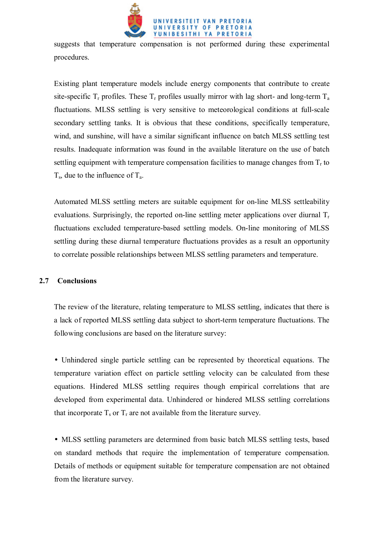

suggests that temperature compensation is not performed during these experimental procedures.

Existing plant temperature models include energy components that contribute to create site-specific  $T_r$  profiles. These  $T_r$  profiles usually mirror with lag short- and long-term  $T_a$ fluctuations. MLSS settling is very sensitive to meteorological conditions at full-scale secondary settling tanks. It is obvious that these conditions, specifically temperature, wind, and sunshine, will have a similar significant influence on batch MLSS settling test results. Inadequate information was found in the available literature on the use of batch settling equipment with temperature compensation facilities to manage changes from  $T_r$  to  $T_s$ , due to the influence of  $T_a$ .

Automated MLSS settling meters are suitable equipment for on-line MLSS settleability evaluations. Surprisingly, the reported on-line settling meter applications over diurnal  $T_r$ fluctuations excluded temperature-based settling models. On-line monitoring of MLSS settling during these diurnal temperature fluctuations provides as a result an opportunity to correlate possible relationships between MLSS settling parameters and temperature.

### **2.7 Conclusions**

The review of the literature, relating temperature to MLSS settling, indicates that there is a lack of reported MLSS settling data subject to short-term temperature fluctuations. The following conclusions are based on the literature survey:

• Unhindered single particle settling can be represented by theoretical equations. The temperature variation effect on particle settling velocity can be calculated from these equations. Hindered MLSS settling requires though empirical correlations that are developed from experimental data. Unhindered or hindered MLSS settling correlations that incorporate  $T_s$  or  $T_r$  are not available from the literature survey.

• MLSS settling parameters are determined from basic batch MLSS settling tests, based on standard methods that require the implementation of temperature compensation. Details of methods or equipment suitable for temperature compensation are not obtained from the literature survey.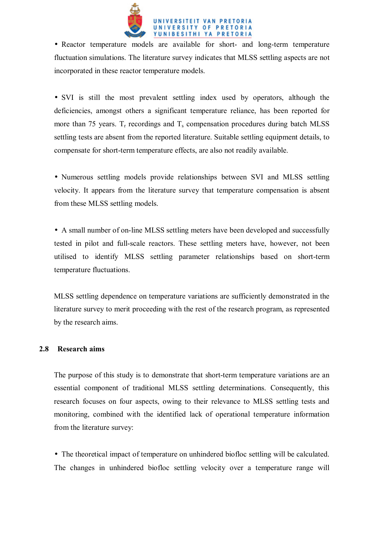

• Reactor temperature models are available for short- and long-term temperature fluctuation simulations. The literature survey indicates that MLSS settling aspects are not incorporated in these reactor temperature models.

• SVI is still the most prevalent settling index used by operators, although the deficiencies, amongst others a significant temperature reliance, has been reported for more than 75 years.  $T_r$  recordings and  $T_s$  compensation procedures during batch MLSS settling tests are absent from the reported literature. Suitable settling equipment details, to compensate for short-term temperature effects, are also not readily available.

• Numerous settling models provide relationships between SVI and MLSS settling velocity. It appears from the literature survey that temperature compensation is absent from these MLSS settling models.

• A small number of on-line MLSS settling meters have been developed and successfully tested in pilot and full-scale reactors. These settling meters have, however, not been utilised to identify MLSS settling parameter relationships based on short-term temperature fluctuations.

MLSS settling dependence on temperature variations are sufficiently demonstrated in the literature survey to merit proceeding with the rest of the research program, as represented by the research aims.

### **2.8 Research aims**

The purpose of this study is to demonstrate that short-term temperature variations are an essential component of traditional MLSS settling determinations. Consequently, this research focuses on four aspects, owing to their relevance to MLSS settling tests and monitoring, combined with the identified lack of operational temperature information from the literature survey:

• The theoretical impact of temperature on unhindered biofloc settling will be calculated. The changes in unhindered biofloc settling velocity over a temperature range will